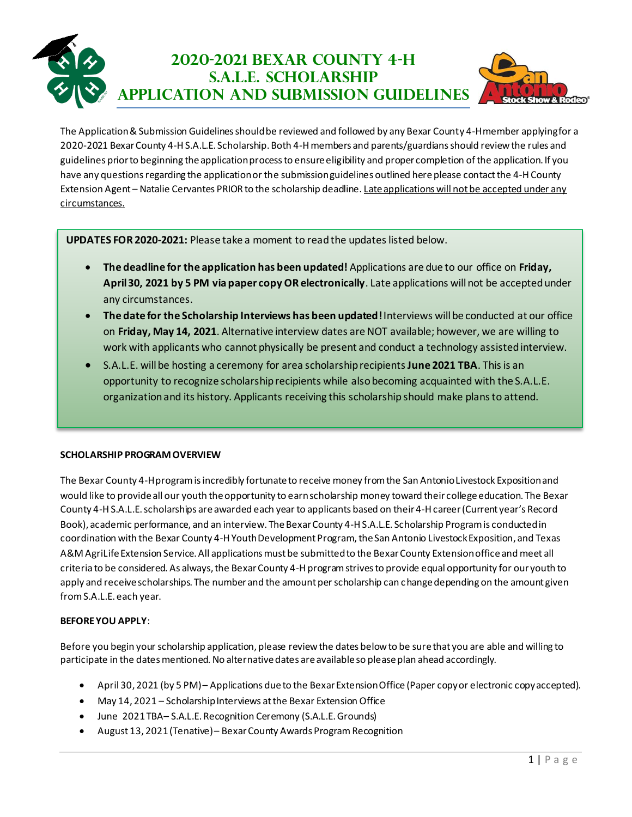## **2020-2021 Bexar County 4-H S.A.L.E. Scholarship APPLICATION AND SUBMISSION GUIDELINES**



The Application & Submission Guidelines should be reviewed and followed by any Bexar County 4-H member applying for a 2020-2021 Bexar County 4-H S.A.L.E. Scholarship. Both 4-H members and parents/guardians should review the rules and guidelines prior to beginning the application process to ensure eligibility and proper completion ofthe application. If you have any questions regarding the application or the submission guidelines outlined here please contact the 4-H County Extension Agent – Natalie Cervantes PRIOR to the scholarship deadline. Late applications will not be accepted under any circumstances.

**UPDATES FOR 2020-2021:** Please take a moment to read the updateslisted below.

- **The deadline for the application has been updated!** Applications are due to our office on **Friday, April 30, 2021 by 5 PM via paper copy OR electronically**. Late applications will not be accepted under any circumstances.
- **The date for the Scholarship Interviews has been updated!** Interviews will be conducted at our office on **Friday, May 14, 2021**. Alternative interview dates are NOT available; however, we are willing to work with applicants who cannot physically be present and conduct a technology assisted interview.
- S.A.L.E. will be hosting a ceremony for area scholarship recipients **June 2021 TBA**. This is an opportunity to recognize scholarship recipients while also becoming acquainted with the S.A.L.E. organization and its history. Applicants receiving this scholarship should make plans to attend.

## **SCHOLARSHIP PROGRAM OVERVIEW**

The Bexar County 4-H program is incredibly fortunate to receive money from the San Antonio Livestock Exposition and would like to provide all our youth the opportunity to earn scholarship money toward their college education. The Bexar County 4-H S.A.L.E.scholarships are awarded each year to applicants based on their 4-H career(Current year's Record Book), academic performance, and an interview. The Bexar County 4-H S.A.L.E. Scholarship Program is conducted in coordination with the Bexar County 4-H Youth Development Program, the San Antonio Livestock Exposition, and Texas A&M AgriLife Extension Service. All applications must be submitted to the Bexar County Extension office and meet all criteria to be considered. As always, the Bexar County 4-H program strives to provide equal opportunity for our youth to apply and receive scholarships. The number and the amount per scholarship can change depending on the amount given from S.A.L.E. each year.

## **BEFORE YOU APPLY**:

Before you begin your scholarship application, please review the dates below to be sure that you are able and willing to participate in the dates mentioned. No alternative dates are available so please plan ahead accordingly.

- April 30, 2021 (by 5 PM)– Applications due to the Bexar Extension Office (Paper copy or electronic copy accepted).
- May 14, 2021 Scholarship Interviews at the Bexar Extension Office
- June 2021TBA– S.A.L.E. Recognition Ceremony (S.A.L.E. Grounds)
- August 13, 2021 (Tenative) Bexar County Awards Program Recognition